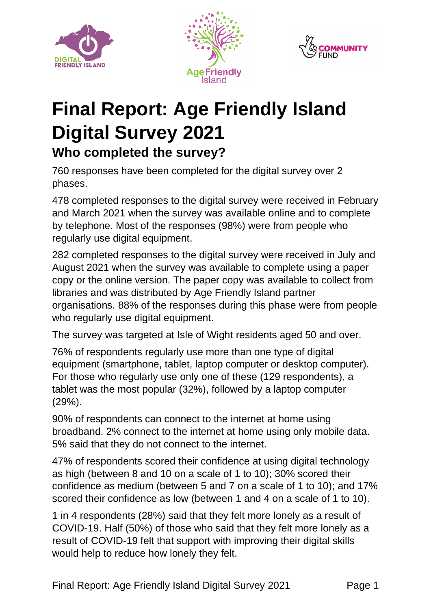





# **Final Report: Age Friendly Island Digital Survey 2021 Who completed the survey?**

760 responses have been completed for the digital survey over 2 phases.

478 completed responses to the digital survey were received in February and March 2021 when the survey was available online and to complete by telephone. Most of the responses (98%) were from people who regularly use digital equipment.

282 completed responses to the digital survey were received in July and August 2021 when the survey was available to complete using a paper copy or the online version. The paper copy was available to collect from libraries and was distributed by Age Friendly Island partner organisations. 88% of the responses during this phase were from people who regularly use digital equipment.

The survey was targeted at Isle of Wight residents aged 50 and over.

76% of respondents regularly use more than one type of digital equipment (smartphone, tablet, laptop computer or desktop computer). For those who regularly use only one of these (129 respondents), a tablet was the most popular (32%), followed by a laptop computer (29%).

90% of respondents can connect to the internet at home using broadband. 2% connect to the internet at home using only mobile data. 5% said that they do not connect to the internet.

47% of respondents scored their confidence at using digital technology as high (between 8 and 10 on a scale of 1 to 10); 30% scored their confidence as medium (between 5 and 7 on a scale of 1 to 10); and 17% scored their confidence as low (between 1 and 4 on a scale of 1 to 10).

1 in 4 respondents (28%) said that they felt more lonely as a result of COVID-19. Half (50%) of those who said that they felt more lonely as a result of COVID-19 felt that support with improving their digital skills would help to reduce how lonely they felt.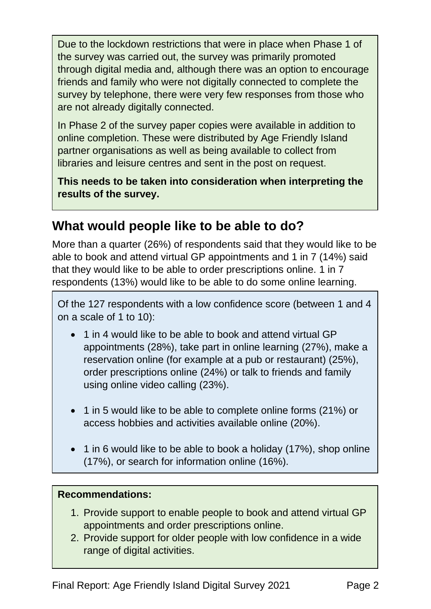Due to the lockdown restrictions that were in place when Phase 1 of the survey was carried out, the survey was primarily promoted through digital media and, although there was an option to encourage friends and family who were not digitally connected to complete the survey by telephone, there were very few responses from those who are not already digitally connected.

In Phase 2 of the survey paper copies were available in addition to online completion. These were distributed by Age Friendly Island partner organisations as well as being available to collect from libraries and leisure centres and sent in the post on request.

**This needs to be taken into consideration when interpreting the results of the survey.**

### **What would people like to be able to do?**

More than a quarter (26%) of respondents said that they would like to be able to book and attend virtual GP appointments and 1 in 7 (14%) said that they would like to be able to order prescriptions online. 1 in 7 respondents (13%) would like to be able to do some online learning.

Of the 127 respondents with a low confidence score (between 1 and 4 on a scale of 1 to 10):

- 1 in 4 would like to be able to book and attend virtual GP appointments (28%), take part in online learning (27%), make a reservation online (for example at a pub or restaurant) (25%), order prescriptions online (24%) or talk to friends and family using online video calling (23%).
- 1 in 5 would like to be able to complete online forms (21%) or access hobbies and activities available online (20%).
- 1 in 6 would like to be able to book a holiday (17%), shop online (17%), or search for information online (16%).

- 1. Provide support to enable people to book and attend virtual GP appointments and order prescriptions online.
- 2. Provide support for older people with low confidence in a wide range of digital activities.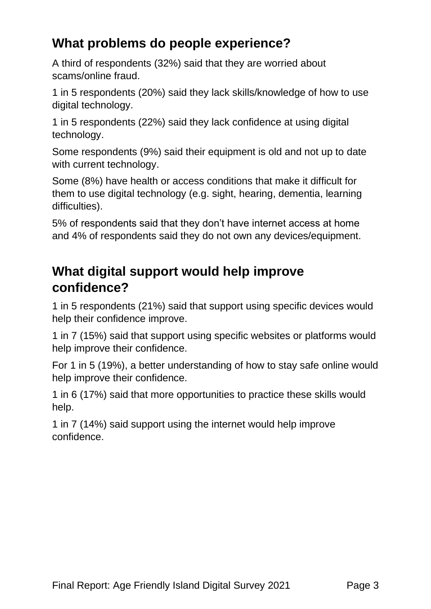### **What problems do people experience?**

A third of respondents (32%) said that they are worried about scams/online fraud.

1 in 5 respondents (20%) said they lack skills/knowledge of how to use digital technology.

1 in 5 respondents (22%) said they lack confidence at using digital technology.

Some respondents (9%) said their equipment is old and not up to date with current technology.

Some (8%) have health or access conditions that make it difficult for them to use digital technology (e.g. sight, hearing, dementia, learning difficulties).

5% of respondents said that they don't have internet access at home and 4% of respondents said they do not own any devices/equipment.

### **What digital support would help improve confidence?**

1 in 5 respondents (21%) said that support using specific devices would help their confidence improve.

1 in 7 (15%) said that support using specific websites or platforms would help improve their confidence.

For 1 in 5 (19%), a better understanding of how to stay safe online would help improve their confidence.

1 in 6 (17%) said that more opportunities to practice these skills would help.

1 in 7 (14%) said support using the internet would help improve confidence.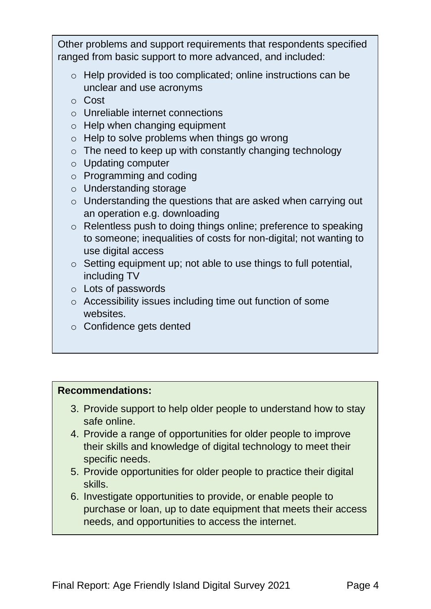Other problems and support requirements that respondents specified ranged from basic support to more advanced, and included:

- o Help provided is too complicated; online instructions can be unclear and use acronyms
- o Cost
- o Unreliable internet connections
- $\circ$  Help when changing equipment
- o Help to solve problems when things go wrong
- $\circ$  The need to keep up with constantly changing technology
- o Updating computer
- o Programming and coding
- o Understanding storage
- o Understanding the questions that are asked when carrying out an operation e.g. downloading
- o Relentless push to doing things online; preference to speaking to someone; inequalities of costs for non-digital; not wanting to use digital access
- o Setting equipment up; not able to use things to full potential, including TV
- o Lots of passwords
- o Accessibility issues including time out function of some websites.
- o Confidence gets dented

- 3. Provide support to help older people to understand how to stay safe online.
- 4. Provide a range of opportunities for older people to improve their skills and knowledge of digital technology to meet their specific needs.
- 5. Provide opportunities for older people to practice their digital skills.
- 6. Investigate opportunities to provide, or enable people to purchase or loan, up to date equipment that meets their access needs, and opportunities to access the internet.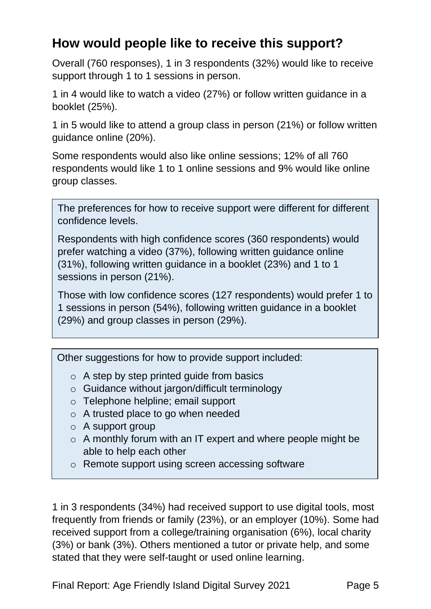### **How would people like to receive this support?**

Overall (760 responses), 1 in 3 respondents (32%) would like to receive support through 1 to 1 sessions in person.

1 in 4 would like to watch a video (27%) or follow written guidance in a booklet (25%).

1 in 5 would like to attend a group class in person (21%) or follow written guidance online (20%).

Some respondents would also like online sessions; 12% of all 760 respondents would like 1 to 1 online sessions and 9% would like online group classes.

The preferences for how to receive support were different for different confidence levels.

Respondents with high confidence scores (360 respondents) would prefer watching a video (37%), following written guidance online (31%), following written guidance in a booklet (23%) and 1 to 1 sessions in person (21%).

Those with low confidence scores (127 respondents) would prefer 1 to 1 sessions in person (54%), following written guidance in a booklet (29%) and group classes in person (29%).

Other suggestions for how to provide support included:

- $\circ$  A step by step printed guide from basics
- o Guidance without jargon/difficult terminology
- o Telephone helpline; email support
- o A trusted place to go when needed
- $\circ$  A support group
- o A monthly forum with an IT expert and where people might be able to help each other
- o Remote support using screen accessing software

1 in 3 respondents (34%) had received support to use digital tools, most frequently from friends or family (23%), or an employer (10%). Some had received support from a college/training organisation (6%), local charity (3%) or bank (3%). Others mentioned a tutor or private help, and some stated that they were self-taught or used online learning.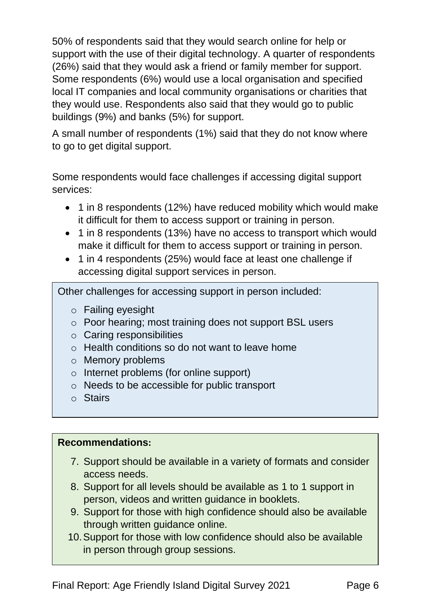50% of respondents said that they would search online for help or support with the use of their digital technology. A quarter of respondents (26%) said that they would ask a friend or family member for support. Some respondents (6%) would use a local organisation and specified local IT companies and local community organisations or charities that they would use. Respondents also said that they would go to public buildings (9%) and banks (5%) for support.

A small number of respondents (1%) said that they do not know where to go to get digital support.

Some respondents would face challenges if accessing digital support services:

- 1 in 8 respondents (12%) have reduced mobility which would make it difficult for them to access support or training in person.
- 1 in 8 respondents (13%) have no access to transport which would make it difficult for them to access support or training in person.
- 1 in 4 respondents (25%) would face at least one challenge if accessing digital support services in person.

Other challenges for accessing support in person included:

- o Failing eyesight
- o Poor hearing; most training does not support BSL users
- o Caring responsibilities
- o Health conditions so do not want to leave home
- o Memory problems
- o Internet problems (for online support)
- o Needs to be accessible for public transport
- o Stairs

- 7. Support should be available in a variety of formats and consider access needs.
- 8. Support for all levels should be available as 1 to 1 support in person, videos and written guidance in booklets.
- 9. Support for those with high confidence should also be available through written guidance online.
- 10.Support for those with low confidence should also be available in person through group sessions.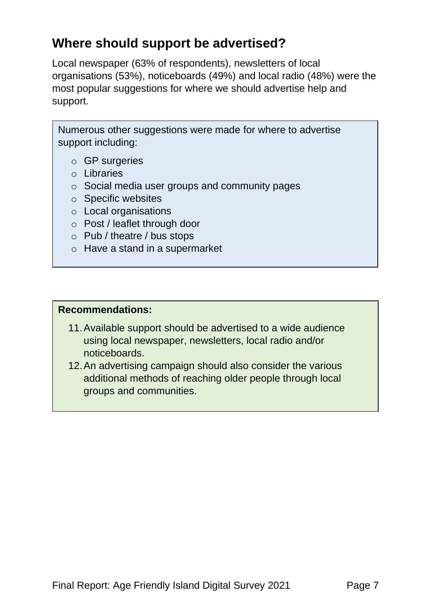### **Where should support be advertised?**

Local newspaper (63% of respondents), newsletters of local organisations (53%), noticeboards (49%) and local radio (48%) were the most popular suggestions for where we should advertise help and support.

Numerous other suggestions were made for where to advertise support including:

- o GP surgeries
- o Libraries
- o Social media user groups and community pages
- o Specific websites
- o Local organisations
- o Post / leaflet through door
- o Pub / theatre / bus stops
- o Have a stand in a supermarket

- 11.Available support should be advertised to a wide audience using local newspaper, newsletters, local radio and/or noticeboards.
- 12.An advertising campaign should also consider the various additional methods of reaching older people through local groups and communities.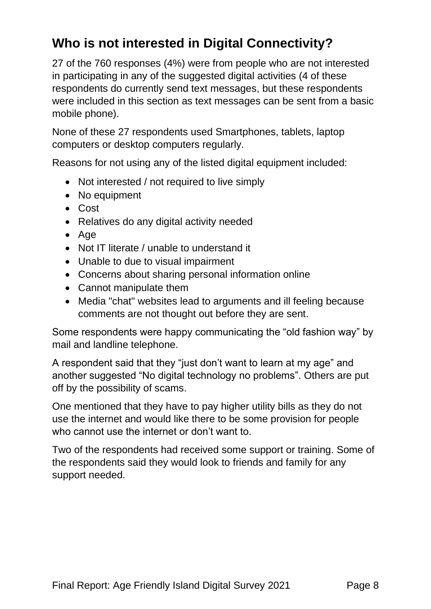## **Who is not interested in Digital Connectivity?**

27 of the 760 responses (4%) were from people who are not interested in participating in any of the suggested digital activities (4 of these respondents do currently send text messages, but these respondents were included in this section as text messages can be sent from a basic mobile phone).

None of these 27 respondents used Smartphones, tablets, laptop computers or desktop computers regularly.

Reasons for not using any of the listed digital equipment included:

- Not interested / not required to live simply
- No equipment
- Cost
- Relatives do any digital activity needed
- Age
- Not IT literate / unable to understand it
- Unable to due to visual impairment
- Concerns about sharing personal information online
- Cannot manipulate them
- Media "chat" websites lead to arguments and ill feeling because comments are not thought out before they are sent.

Some respondents were happy communicating the "old fashion way" by mail and landline telephone.

A respondent said that they "just don't want to learn at my age" and another suggested "No digital technology no problems". Others are put off by the possibility of scams.

One mentioned that they have to pay higher utility bills as they do not use the internet and would like there to be some provision for people who cannot use the internet or don't want to.

Two of the respondents had received some support or training. Some of the respondents said they would look to friends and family for any support needed.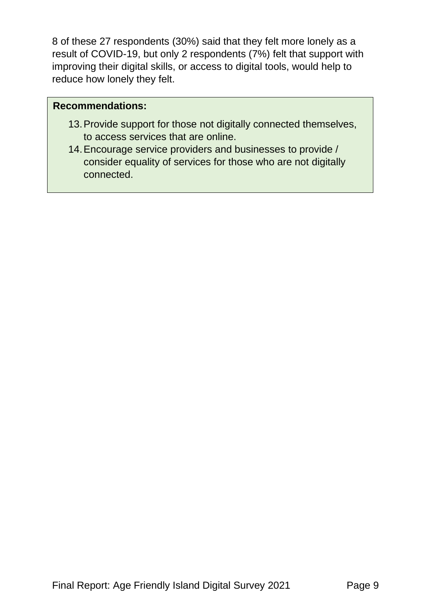8 of these 27 respondents (30%) said that they felt more lonely as a result of COVID-19, but only 2 respondents (7%) felt that support with improving their digital skills, or access to digital tools, would help to reduce how lonely they felt.

- 13.Provide support for those not digitally connected themselves, to access services that are online.
- 14.Encourage service providers and businesses to provide / consider equality of services for those who are not digitally connected.